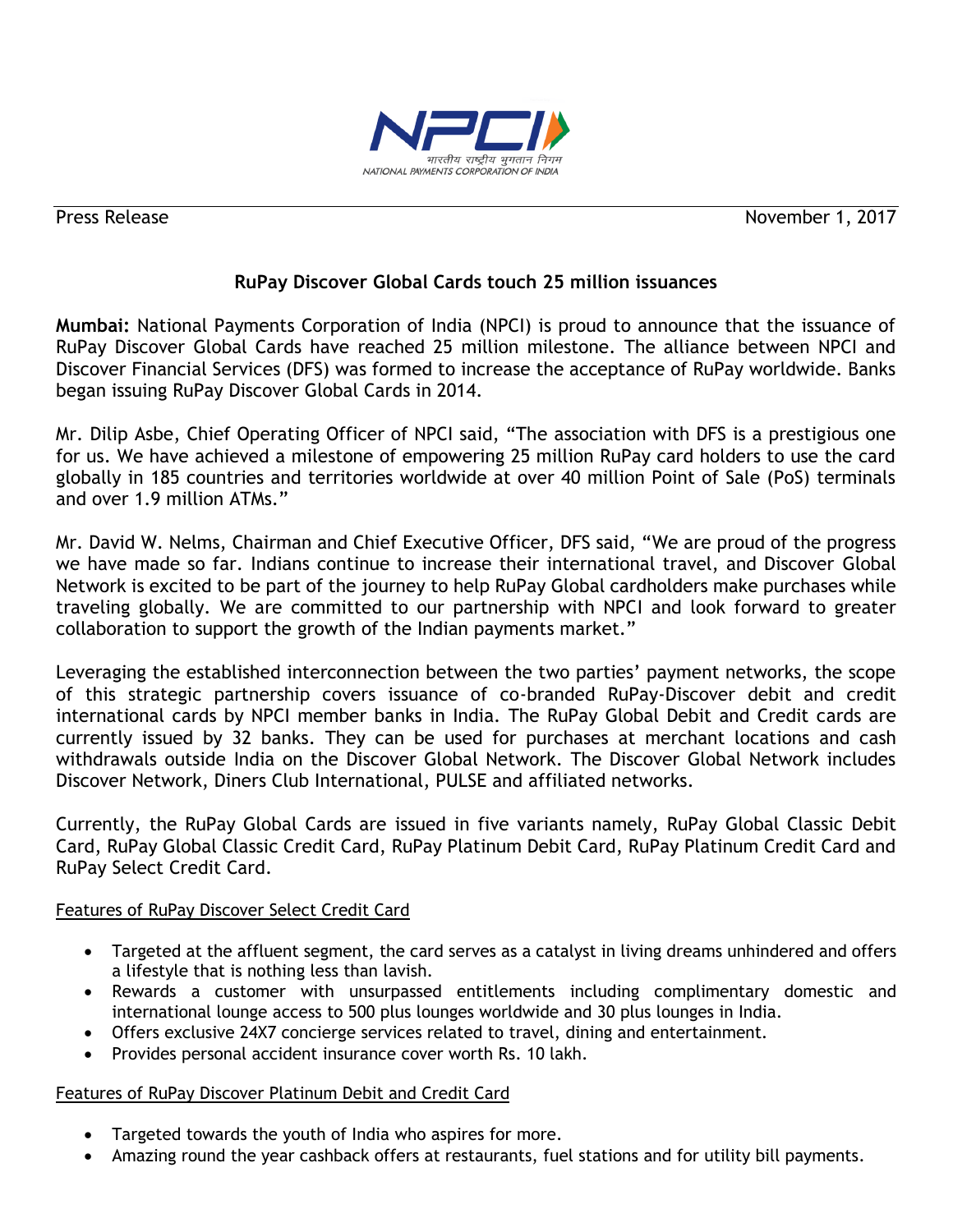

Press Release November 1, 2017

## **RuPay Discover Global Cards touch 25 million issuances**

**Mumbai:** National Payments Corporation of India (NPCI) is proud to announce that the issuance of RuPay Discover Global Cards have reached 25 million milestone. The alliance between NPCI and Discover Financial Services (DFS) was formed to increase the acceptance of RuPay worldwide. Banks began issuing RuPay Discover Global Cards in 2014.

Mr. Dilip Asbe, Chief Operating Officer of NPCI said, "The association with DFS is a prestigious one for us. We have achieved a milestone of empowering 25 million RuPay card holders to use the card globally in 185 countries and territories worldwide at over 40 million Point of Sale (PoS) terminals and over 1.9 million ATMs."

Mr. David W. Nelms, Chairman and Chief Executive Officer, DFS said, "We are proud of the progress we have made so far. Indians continue to increase their international travel, and Discover Global Network is excited to be part of the journey to help RuPay Global cardholders make purchases while traveling globally. We are committed to our partnership with NPCI and look forward to greater collaboration to support the growth of the Indian payments market."

Leveraging the established interconnection between the two parties' payment networks, the scope of this strategic partnership covers issuance of co-branded RuPay-Discover debit and credit international cards by NPCI member banks in India. The RuPay Global Debit and Credit cards are currently issued by 32 banks. They can be used for purchases at merchant locations and cash withdrawals outside India on the Discover Global Network. The Discover Global Network includes Discover Network, Diners Club International, PULSE and affiliated networks.

Currently, the RuPay Global Cards are issued in five variants namely, RuPay Global Classic Debit Card, RuPay Global Classic Credit Card, RuPay Platinum Debit Card, RuPay Platinum Credit Card and RuPay Select Credit Card.

## Features of RuPay Discover Select Credit Card

- Targeted at the affluent segment, the card serves as a catalyst in living dreams unhindered and offers a lifestyle that is nothing less than lavish.
- Rewards a customer with unsurpassed entitlements including complimentary domestic and international lounge access to 500 plus lounges worldwide and 30 plus lounges in India.
- Offers exclusive 24X7 concierge services related to travel, dining and entertainment.
- Provides personal accident insurance cover worth Rs. 10 lakh.

## Features of RuPay Discover Platinum Debit and Credit Card

- Targeted towards the youth of India who aspires for more.
- Amazing round the year cashback offers at restaurants, fuel stations and for utility bill payments.